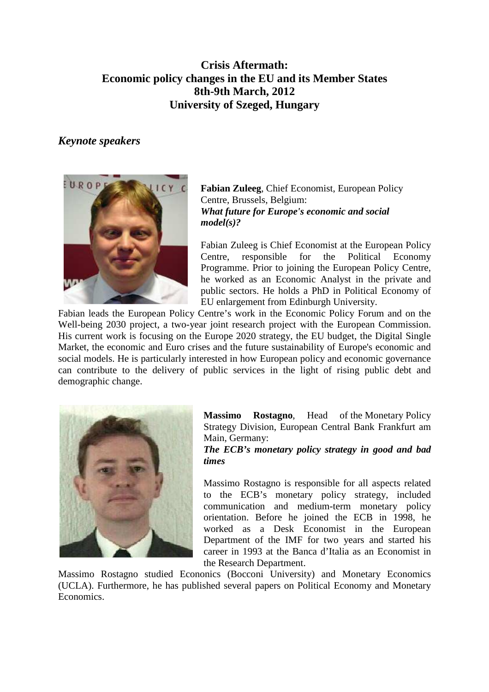## **Crisis Aftermath: Economic policy changes in the EU and its Member States 8th-9th March, 2012 University of Szeged, Hungary**

## *Keynote speakers*



**Fabian Zuleeg**, Chief Economist, European Policy Centre, Brussels, Belgium: *What future for Europe's economic and social model(s)?*

Fabian Zuleeg is Chief Economist at the European Policy Centre, responsible for the Political Economy Programme. Prior to joining the European Policy Centre, he worked as an Economic Analyst in the private and public sectors. He holds a PhD in Political Economy of EU enlargement from Edinburgh University.

Fabian leads the European Policy Centre's work in the Economic Policy Forum and on the Well-being 2030 project, a two-year joint research project with the European Commission. His current work is focusing on the Europe 2020 strategy, the EU budget, the Digital Single Market, the economic and Euro crises and the future sustainability of Europe's economic and social models. He is particularly interested in how European policy and economic governance can contribute to the delivery of public services in the light of rising public debt and demographic change.



**Massimo Rostagno**, Head of the Monetary Policy Strategy Division, European Central Bank Frankfurt am Main, Germany:

*The ECB's monetary policy strategy in good and bad times*

Massimo Rostagno is responsible for all aspects related to the ECB's monetary policy strategy, included communication and medium-term monetary policy orientation. Before he joined the ECB in 1998, he worked as a Desk Economist in the European Department of the IMF for two years and started his career in 1993 at the Banca d'Italia as an Economist in the Research Department.

Massimo Rostagno studied Econonics (Bocconi University) and Monetary Economics (UCLA). Furthermore, he has published several papers on Political Economy and Monetary Economics.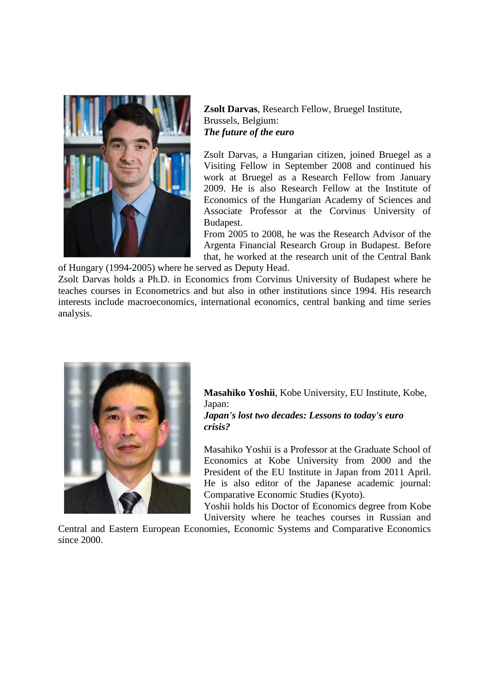

**Zsolt Darvas**, Research Fellow, Bruegel Institute, Brussels, Belgium: *The future of the euro* 

Zsolt Darvas, a Hungarian citizen, joined Bruegel as a Visiting Fellow in September 2008 and continued his work at Bruegel as a Research Fellow from January 2009. He is also Research Fellow at the Institute of Economics of the Hungarian Academy of Sciences and Associate Professor at the Corvinus University of Budapest.

From 2005 to 2008, he was the Research Advisor of the Argenta Financial Research Group in Budapest. Before that, he worked at the research unit of the Central Bank

of Hungary (1994-2005) where he served as Deputy Head.

Zsolt Darvas holds a Ph.D. in Economics from Corvinus University of Budapest where he teaches courses in Econometrics and but also in other institutions since 1994. His research interests include macroeconomics, international economics, central banking and time series analysis.



**Masahiko Yoshii**, Kobe University, EU Institute, Kobe, Japan:

## *Japan's lost two decades: Lessons to today's euro crisis?*

Masahiko Yoshii is a Professor at the Graduate School of Economics at Kobe University from 2000 and the President of the EU Institute in Japan from 2011 April. He is also editor of the Japanese academic journal: Comparative Economic Studies (Kyoto).

Yoshii holds his Doctor of Economics degree from Kobe University where he teaches courses in Russian and

Central and Eastern European Economies, Economic Systems and Comparative Economics since 2000.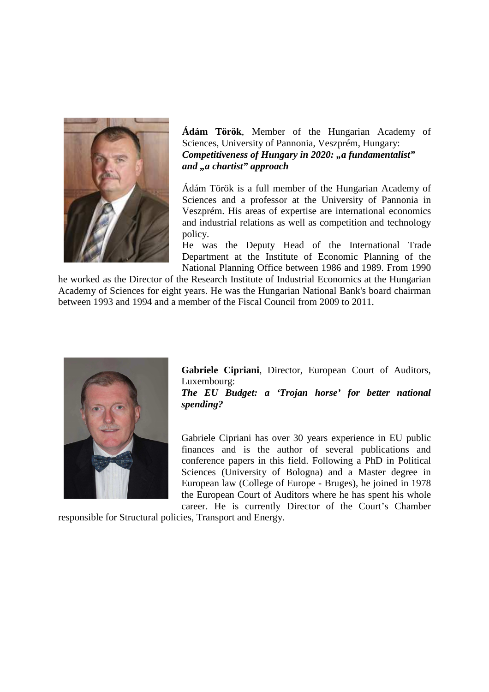

**Ádám Török**, Member of the Hungarian Academy of Sciences, University of Pannonia, Veszprém, Hungary: *Competitiveness of Hungary in 2020: "a fundamentalist" and "a chartist" approach*

Ádám Török is a full member of the Hungarian Academy of Sciences and a professor at the University of Pannonia in Veszprém. His areas of expertise are international economics and industrial relations as well as competition and technology policy.

He was the Deputy Head of the International Trade Department at the Institute of Economic Planning of the National Planning Office between 1986 and 1989. From 1990

he worked as the Director of the Research Institute of Industrial Economics at the Hungarian Academy of Sciences for eight years. He was the Hungarian National Bank's board chairman between 1993 and 1994 and a member of the Fiscal Council from 2009 to 2011.



**Gabriele Cipriani**, Director, European Court of Auditors, Luxembourg:

*The EU Budget: a 'Trojan horse' for better national spending?* 

Gabriele Cipriani has over 30 years experience in EU public finances and is the author of several publications and conference papers in this field. Following a PhD in Political Sciences (University of Bologna) and a Master degree in European law (College of Europe - Bruges), he joined in 1978 the European Court of Auditors where he has spent his whole career. He is currently Director of the Court's Chamber

responsible for Structural policies, Transport and Energy.